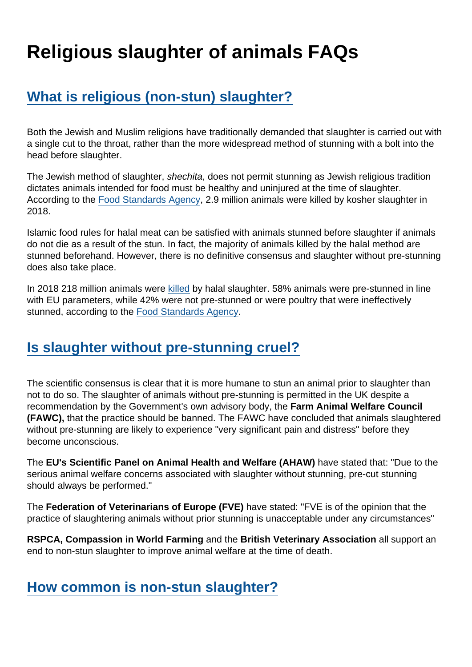# Religious slaughter of animals FAQs

## [What is religious \(non-stun\) slaughter?](https://www.secularism.org.uk/religious-slaughter/religious-slaughter-of-animals-f.html#faq01-a)

Both the Jewish and Muslim religions have traditionally demanded that slaughter is carried out with a single cut to the throat, rather than the more widespread method of stunning with a bolt into the head before slaughter.

The Jewish method of slaughter, shechita, does not permit stunning as Jewish religious tradition dictates animals intended for food must be healthy and uninjured at the time of slaughter. According to the [Food Standards Agency,](https://assets.publishing.service.gov.uk/government/uploads/system/uploads/attachment_data/file/778588/slaughter-method-survey-2018.pdf) 2.9 million animals were killed by kosher slaughter in 2018.

Islamic food rules for halal meat can be satisfied with animals stunned before slaughter if animals do not die as a result of the stun. In fact, the majority of animals killed by the halal method are stunned beforehand. However, there is no definitive consensus and slaughter without pre-stunning does also take place.

In 2018 218 million animals were [killed](https://assets.publishing.service.gov.uk/government/uploads/system/uploads/attachment_data/file/778588/slaughter-method-survey-2018.pdf) by halal slaughter. 58% animals were pre-stunned in line with EU parameters, while 42% were not pre-stunned or were poultry that were ineffectively stunned, according to the [Food Standards Agency.](https://assets.publishing.service.gov.uk/government/uploads/system/uploads/attachment_data/file/778588/slaughter-method-survey-2018.pdf)

#### [Is slaughter without pre-stunning cruel?](https://www.secularism.org.uk/religious-slaughter/religious-slaughter-of-animals-f.html#faq02-a)

The scientific consensus is clear that it is more humane to stun an animal prior to slaughter than not to do so. The slaughter of animals without pre-stunning is permitted in the UK despite a recommendation by the Government's own advisory body, the Farm Animal Welfare Council (FAWC), that the practice should be banned. The FAWC have concluded that animals slaughtered without pre-stunning are likely to experience "very significant pain and distress" before they become unconscious.

The EU's Scientific Panel on Animal Health and Welfare (AHAW) have stated that: "Due to the serious animal welfare concerns associated with slaughter without stunning, pre-cut stunning should always be performed."

The Federation of Veterinarians of Europe (FVE) have stated: "FVE is of the opinion that the practice of slaughtering animals without prior stunning is unacceptable under any circumstances"

RSPCA, Compassion in World Farming and the British Veterinary Association all support an end to non-stun slaughter to improve animal welfare at the time of death.

[How common is non-stun slaughter?](https://www.secularism.org.uk/religious-slaughter/religious-slaughter-of-animals-f.html#faq03-a)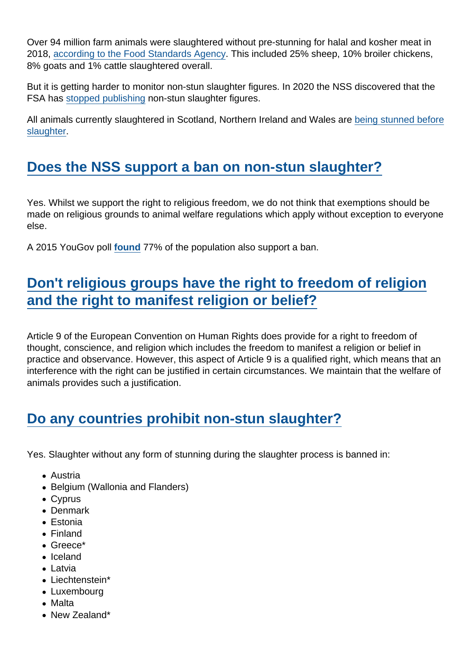Over 94 million farm animals were slaughtered without pre-stunning for halal and kosher meat in 2018, [according to the Food Standards Agency.](https://assets.publishing.service.gov.uk/government/uploads/system/uploads/attachment_data/file/778588/slaughter-method-survey-2018.pdf) This included 25% sheep, 10% broiler chickens, 8% goats and 1% cattle slaughtered overall.

But it is getting harder to monitor non-stun slaughter figures. In 2020 the NSS discovered that the FSA has [stopped publishing](https://www.secularism.org.uk/news/2020/09/nss-criticises-lack-of-transparency-over-non-stun-slaughter) non-stun slaughter figures.

All animals currently slaughtered in Scotland, Northern Ireland and Wales are [being stunned before](https://www.rspca.org.uk/documents/1494939/7712578/Non+Stun+Slaughter+Briefing.pdf) [slaughter](https://www.rspca.org.uk/documents/1494939/7712578/Non+Stun+Slaughter+Briefing.pdf).

#### [Does the NSS support a ban on non-stun slaughter?](https://www.secularism.org.uk/religious-slaughter/religious-slaughter-of-animals-f.html#faq04-a)

Yes. Whilst we support the right to religious freedom, we do not think that exemptions should be made on religious grounds to animal welfare regulations which apply without exception to everyone else.

A 2015 YouGov poll [found](https://web.archive.org/web/20150226051648/https:/www.politics.co.uk/opinion-formers/rspca-royal-society-for-the-prevention-of-cruelty-to-animals/article/almost-80-per-cent-of-uk-wants-an-end-to-non-stun-slaughter) 77% of the population also support a ban.

## [Don't religious groups have the right to freedom of religion](https://www.secularism.org.uk/religious-slaughter/religious-slaughter-of-animals-f.html#faq05-a) [and the right to manifest religion or belief?](https://www.secularism.org.uk/religious-slaughter/religious-slaughter-of-animals-f.html#faq05-a)

Article 9 of the European Convention on Human Rights does provide for a right to freedom of thought, conscience, and religion which includes the freedom to manifest a religion or belief in practice and observance. However, this aspect of Article 9 is a qualified right, which means that an interference with the right can be justified in certain circumstances. We maintain that the welfare of animals provides such a justification.

#### [Do any countries prohibit non-stun slaughter?](https://www.secularism.org.uk/religious-slaughter/religious-slaughter-of-animals-f.html#faq06-a)

Yes. Slaughter without any form of stunning during the slaughter process is banned in:

- Austria
- Belgium (Wallonia and Flanders)
- Cvprus
- Denmark
- Estonia
- Finland
- Greece\*
- Iceland
- Latvia
- Liechtenstein\*
- Luxembourg
- Malta
- New Zealand\*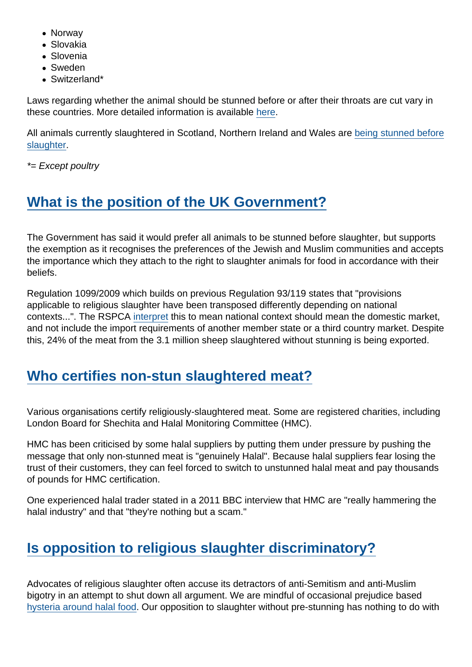- Norway
- Slovakia
- Slovenia
- Sweden
- Switzerland\*

Laws regarding whether the animal should be stunned before or after their throats are cut vary in these countries. More detailed information is available [here](https://en.wikipedia.org/wiki/Legal_aspects_of_ritual_slaughter).

All animals currently slaughtered in Scotland, Northern Ireland and Wales are [being stunned before](https://www.rspca.org.uk/documents/1494939/7712578/Non+Stun+Slaughter+Briefing.pdf) [slaughter](https://www.rspca.org.uk/documents/1494939/7712578/Non+Stun+Slaughter+Briefing.pdf).

\*= Except poultry

## [What is the position of the UK Government?](https://www.secularism.org.uk/religious-slaughter/religious-slaughter-of-animals-f.html#faq07-a)

The Government has said it would prefer all animals to be stunned before slaughter, but supports the exemption as it recognises the preferences of the Jewish and Muslim communities and accepts the importance which they attach to the right to slaughter animals for food in accordance with their beliefs.

Regulation 1099/2009 which builds on previous Regulation 93/119 states that "provisions applicable to religious slaughter have been transposed differently depending on national contexts...". The RSPCA [interpret](https://www.rspca.org.uk/documents/1494939/7712578/Non+Stun+Slaughter+Briefing.pdf) this to mean national context should mean the domestic market, and not include the import requirements of another member state or a third country market. Despite this, 24% of the meat from the 3.1 million sheep slaughtered without stunning is being exported.

#### [Who certifies non-stun slaughtered meat?](https://www.secularism.org.uk/religious-slaughter/religious-slaughter-of-animals-f.html#e-196269-a)

Various organisations certify religiously-slaughtered meat. Some are registered charities, including London Board for Shechita and Halal Monitoring Committee (HMC).

HMC has been criticised by some halal suppliers by putting them under pressure by pushing the message that only non-stunned meat is "genuinely Halal". Because halal suppliers fear losing the trust of their customers, they can feel forced to switch to unstunned halal meat and pay thousands of pounds for HMC certification.

One experienced halal trader stated in a 2011 BBC interview that HMC are "really hammering the halal industry" and that "they're nothing but a scam."

## [Is opposition to religious slaughter discriminatory?](https://www.secularism.org.uk/religious-slaughter/religious-slaughter-of-animals-f.html#faq08-a)

Advocates of religious slaughter often accuse its detractors of anti-Semitism and anti-Muslim bigotry in an attempt to shut down all argument. We are mindful of occasional prejudice based [hysteria around halal food](http://nss.cuttlefish.com/blog/2014/05/halal-hysteria--religious-exemptions-from-animal-welfare-law-are-the-real-issue). Our opposition to slaughter without pre-stunning has nothing to do with